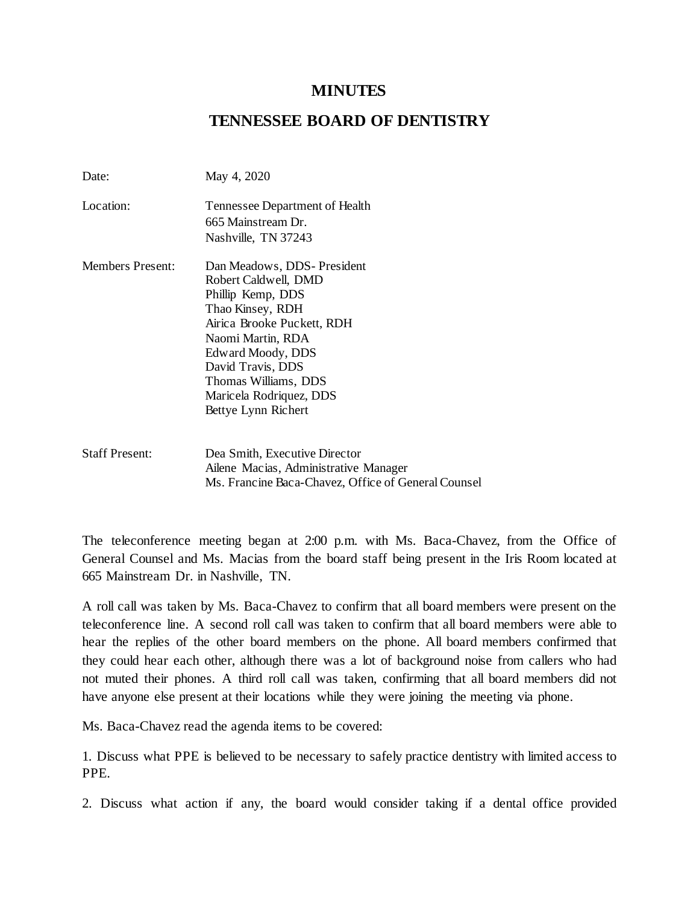## **MINUTES**

## **TENNESSEE BOARD OF DENTISTRY**

| Date:                 | May 4, 2020                                         |
|-----------------------|-----------------------------------------------------|
| Location:             | Tennessee Department of Health                      |
|                       | 665 Mainstream Dr.                                  |
|                       | Nashville, TN 37243                                 |
| Members Present:      | Dan Meadows, DDS-President                          |
|                       | Robert Caldwell, DMD                                |
|                       | Phillip Kemp, DDS                                   |
|                       | Thao Kinsey, RDH                                    |
|                       | Airica Brooke Puckett, RDH                          |
|                       | Naomi Martin, RDA                                   |
|                       | Edward Moody, DDS                                   |
|                       | David Travis, DDS                                   |
|                       | Thomas Williams, DDS                                |
|                       | Maricela Rodriquez, DDS                             |
|                       | Bettye Lynn Richert                                 |
| <b>Staff Present:</b> | Dea Smith, Executive Director                       |
|                       | Ailene Macias, Administrative Manager               |
|                       | Ms. Francine Baca-Chavez, Office of General Counsel |

The teleconference meeting began at 2:00 p.m. with Ms. Baca-Chavez, from the Office of General Counsel and Ms. Macias from the board staff being present in the Iris Room located at 665 Mainstream Dr. in Nashville, TN.

A roll call was taken by Ms. Baca-Chavez to confirm that all board members were present on the teleconference line. A second roll call was taken to confirm that all board members were able to hear the replies of the other board members on the phone. All board members confirmed that they could hear each other, although there was a lot of background noise from callers who had not muted their phones. A third roll call was taken, confirming that all board members did not have anyone else present at their locations while they were joining the meeting via phone.

Ms. Baca-Chavez read the agenda items to be covered:

1. Discuss what PPE is believed to be necessary to safely practice dentistry with limited access to PPE.

2. Discuss what action if any, the board would consider taking if a dental office provided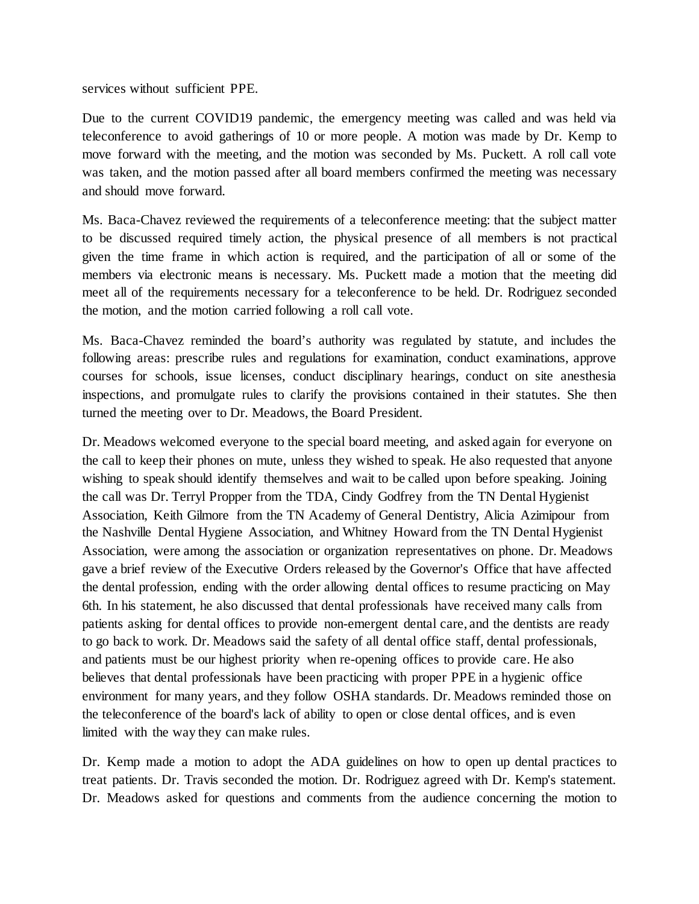services without sufficient PPE.

Due to the current COVID19 pandemic, the emergency meeting was called and was held via teleconference to avoid gatherings of 10 or more people. A motion was made by Dr. Kemp to move forward with the meeting, and the motion was seconded by Ms. Puckett. A roll call vote was taken, and the motion passed after all board members confirmed the meeting was necessary and should move forward.

Ms. Baca-Chavez reviewed the requirements of a teleconference meeting: that the subject matter to be discussed required timely action, the physical presence of all members is not practical given the time frame in which action is required, and the participation of all or some of the members via electronic means is necessary. Ms. Puckett made a motion that the meeting did meet all of the requirements necessary for a teleconference to be held. Dr. Rodriguez seconded the motion, and the motion carried following a roll call vote.

Ms. Baca-Chavez reminded the board's authority was regulated by statute, and includes the following areas: prescribe rules and regulations for examination, conduct examinations, approve courses for schools, issue licenses, conduct disciplinary hearings, conduct on site anesthesia inspections, and promulgate rules to clarify the provisions contained in their statutes. She then turned the meeting over to Dr. Meadows, the Board President.

Dr. Meadows welcomed everyone to the special board meeting, and asked again for everyone on the call to keep their phones on mute, unless they wished to speak. He also requested that anyone wishing to speak should identify themselves and wait to be called upon before speaking. Joining the call was Dr. Terryl Propper from the TDA, Cindy Godfrey from the TN Dental Hygienist Association, Keith Gilmore from the TN Academy of General Dentistry, Alicia Azimipour from the Nashville Dental Hygiene Association, and Whitney Howard from the TN Dental Hygienist Association, were among the association or organization representatives on phone. Dr. Meadows gave a brief review of the Executive Orders released by the Governor's Office that have affected the dental profession, ending with the order allowing dental offices to resume practicing on May 6th. In his statement, he also discussed that dental professionals have received many calls from patients asking for dental offices to provide non-emergent dental care, and the dentists are ready to go back to work. Dr. Meadows said the safety of all dental office staff, dental professionals, and patients must be our highest priority when re-opening offices to provide care. He also believes that dental professionals have been practicing with proper PPE in a hygienic office environment for many years, and they follow OSHA standards. Dr. Meadows reminded those on the teleconference of the board's lack of ability to open or close dental offices, and is even limited with the way they can make rules.

Dr. Kemp made a motion to adopt the ADA guidelines on how to open up dental practices to treat patients. Dr. Travis seconded the motion. Dr. Rodriguez agreed with Dr. Kemp's statement. Dr. Meadows asked for questions and comments from the audience concerning the motion to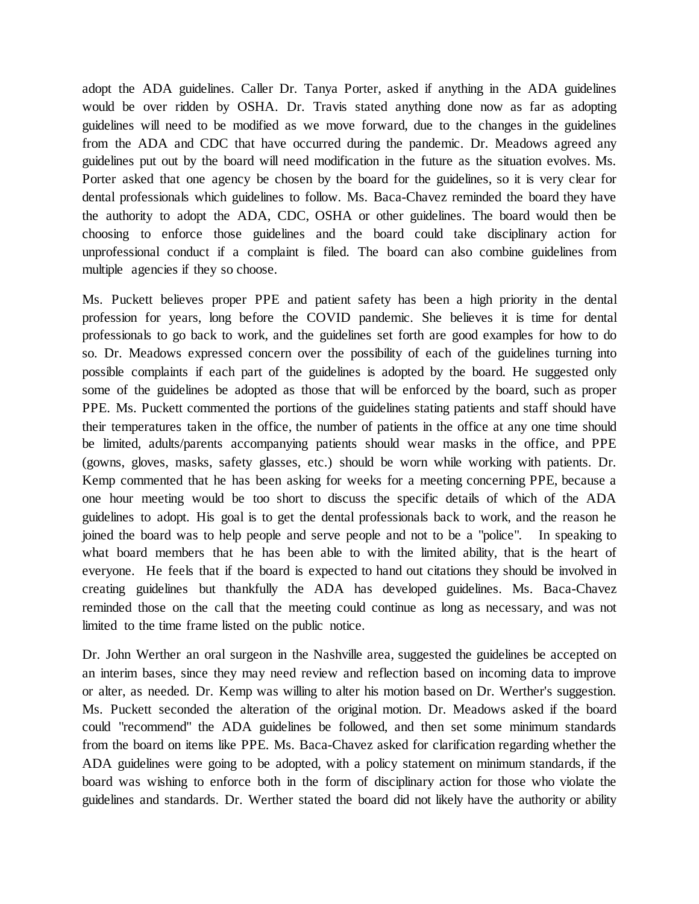adopt the ADA guidelines. Caller Dr. Tanya Porter, asked if anything in the ADA guidelines would be over ridden by OSHA. Dr. Travis stated anything done now as far as adopting guidelines will need to be modified as we move forward, due to the changes in the guidelines from the ADA and CDC that have occurred during the pandemic. Dr. Meadows agreed any guidelines put out by the board will need modification in the future as the situation evolves. Ms. Porter asked that one agency be chosen by the board for the guidelines, so it is very clear for dental professionals which guidelines to follow. Ms. Baca-Chavez reminded the board they have the authority to adopt the ADA, CDC, OSHA or other guidelines. The board would then be choosing to enforce those guidelines and the board could take disciplinary action for unprofessional conduct if a complaint is filed. The board can also combine guidelines from multiple agencies if they so choose.

Ms. Puckett believes proper PPE and patient safety has been a high priority in the dental profession for years, long before the COVID pandemic. She believes it is time for dental professionals to go back to work, and the guidelines set forth are good examples for how to do so. Dr. Meadows expressed concern over the possibility of each of the guidelines turning into possible complaints if each part of the guidelines is adopted by the board. He suggested only some of the guidelines be adopted as those that will be enforced by the board, such as proper PPE. Ms. Puckett commented the portions of the guidelines stating patients and staff should have their temperatures taken in the office, the number of patients in the office at any one time should be limited, adults/parents accompanying patients should wear masks in the office, and PPE (gowns, gloves, masks, safety glasses, etc.) should be worn while working with patients. Dr. Kemp commented that he has been asking for weeks for a meeting concerning PPE, because a one hour meeting would be too short to discuss the specific details of which of the ADA guidelines to adopt. His goal is to get the dental professionals back to work, and the reason he joined the board was to help people and serve people and not to be a "police". In speaking to what board members that he has been able to with the limited ability, that is the heart of everyone. He feels that if the board is expected to hand out citations they should be involved in creating guidelines but thankfully the ADA has developed guidelines. Ms. Baca-Chavez reminded those on the call that the meeting could continue as long as necessary, and was not limited to the time frame listed on the public notice.

Dr. John Werther an oral surgeon in the Nashville area, suggested the guidelines be accepted on an interim bases, since they may need review and reflection based on incoming data to improve or alter, as needed. Dr. Kemp was willing to alter his motion based on Dr. Werther's suggestion. Ms. Puckett seconded the alteration of the original motion. Dr. Meadows asked if the board could "recommend" the ADA guidelines be followed, and then set some minimum standards from the board on items like PPE. Ms. Baca-Chavez asked for clarification regarding whether the ADA guidelines were going to be adopted, with a policy statement on minimum standards, if the board was wishing to enforce both in the form of disciplinary action for those who violate the guidelines and standards. Dr. Werther stated the board did not likely have the authority or ability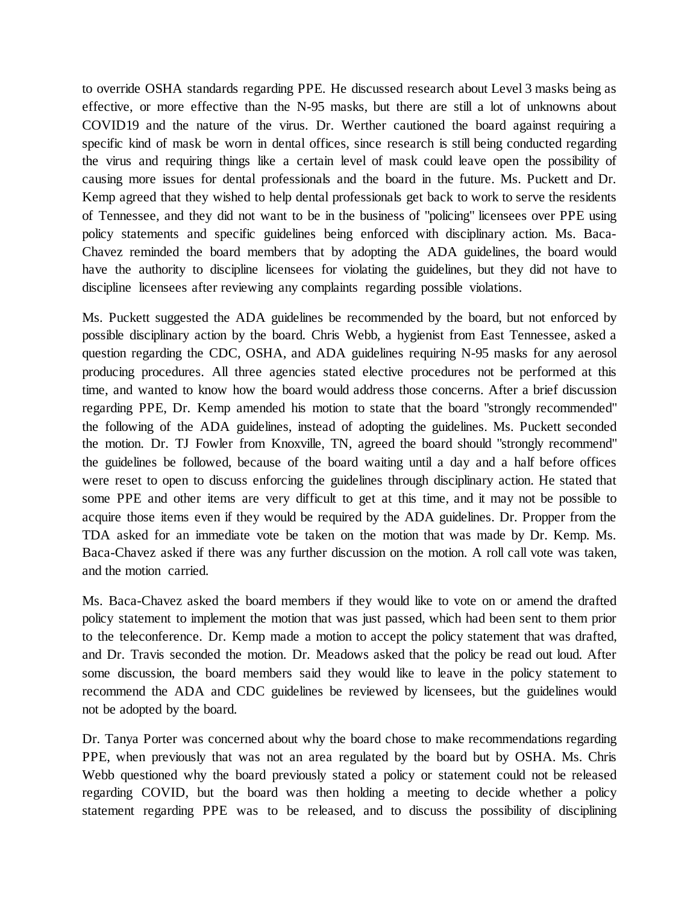to override OSHA standards regarding PPE. He discussed research about Level 3 masks being as effective, or more effective than the N-95 masks, but there are still a lot of unknowns about COVID19 and the nature of the virus. Dr. Werther cautioned the board against requiring a specific kind of mask be worn in dental offices, since research is still being conducted regarding the virus and requiring things like a certain level of mask could leave open the possibility of causing more issues for dental professionals and the board in the future. Ms. Puckett and Dr. Kemp agreed that they wished to help dental professionals get back to work to serve the residents of Tennessee, and they did not want to be in the business of "policing" licensees over PPE using policy statements and specific guidelines being enforced with disciplinary action. Ms. Baca-Chavez reminded the board members that by adopting the ADA guidelines, the board would have the authority to discipline licensees for violating the guidelines, but they did not have to discipline licensees after reviewing any complaints regarding possible violations.

Ms. Puckett suggested the ADA guidelines be recommended by the board, but not enforced by possible disciplinary action by the board. Chris Webb, a hygienist from East Tennessee, asked a question regarding the CDC, OSHA, and ADA guidelines requiring N-95 masks for any aerosol producing procedures. All three agencies stated elective procedures not be performed at this time, and wanted to know how the board would address those concerns. After a brief discussion regarding PPE, Dr. Kemp amended his motion to state that the board "strongly recommended" the following of the ADA guidelines, instead of adopting the guidelines. Ms. Puckett seconded the motion. Dr. TJ Fowler from Knoxville, TN, agreed the board should "strongly recommend" the guidelines be followed, because of the board waiting until a day and a half before offices were reset to open to discuss enforcing the guidelines through disciplinary action. He stated that some PPE and other items are very difficult to get at this time, and it may not be possible to acquire those items even if they would be required by the ADA guidelines. Dr. Propper from the TDA asked for an immediate vote be taken on the motion that was made by Dr. Kemp. Ms. Baca-Chavez asked if there was any further discussion on the motion. A roll call vote was taken, and the motion carried.

Ms. Baca-Chavez asked the board members if they would like to vote on or amend the drafted policy statement to implement the motion that was just passed, which had been sent to them prior to the teleconference. Dr. Kemp made a motion to accept the policy statement that was drafted, and Dr. Travis seconded the motion. Dr. Meadows asked that the policy be read out loud. After some discussion, the board members said they would like to leave in the policy statement to recommend the ADA and CDC guidelines be reviewed by licensees, but the guidelines would not be adopted by the board.

Dr. Tanya Porter was concerned about why the board chose to make recommendations regarding PPE, when previously that was not an area regulated by the board but by OSHA. Ms. Chris Webb questioned why the board previously stated a policy or statement could not be released regarding COVID, but the board was then holding a meeting to decide whether a policy statement regarding PPE was to be released, and to discuss the possibility of disciplining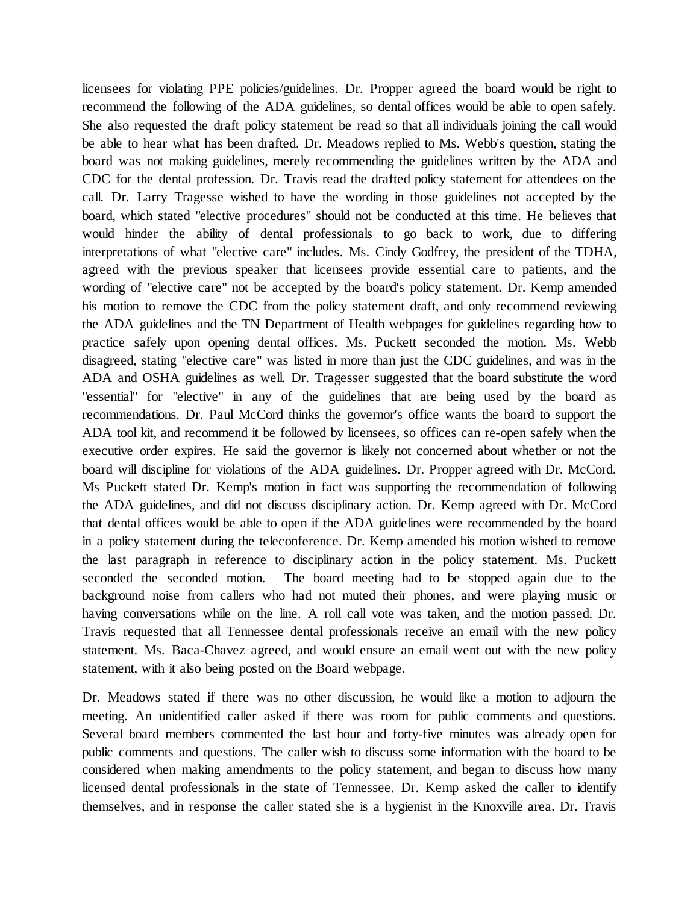licensees for violating PPE policies/guidelines. Dr. Propper agreed the board would be right to recommend the following of the ADA guidelines, so dental offices would be able to open safely. She also requested the draft policy statement be read so that all individuals joining the call would be able to hear what has been drafted. Dr. Meadows replied to Ms. Webb's question, stating the board was not making guidelines, merely recommending the guidelines written by the ADA and CDC for the dental profession. Dr. Travis read the drafted policy statement for attendees on the call. Dr. Larry Tragesse wished to have the wording in those guidelines not accepted by the board, which stated "elective procedures" should not be conducted at this time. He believes that would hinder the ability of dental professionals to go back to work, due to differing interpretations of what "elective care" includes. Ms. Cindy Godfrey, the president of the TDHA, agreed with the previous speaker that licensees provide essential care to patients, and the wording of "elective care" not be accepted by the board's policy statement. Dr. Kemp amended his motion to remove the CDC from the policy statement draft, and only recommend reviewing the ADA guidelines and the TN Department of Health webpages for guidelines regarding how to practice safely upon opening dental offices. Ms. Puckett seconded the motion. Ms. Webb disagreed, stating "elective care" was listed in more than just the CDC guidelines, and was in the ADA and OSHA guidelines as well. Dr. Tragesser suggested that the board substitute the word "essential" for "elective" in any of the guidelines that are being used by the board as recommendations. Dr. Paul McCord thinks the governor's office wants the board to support the ADA tool kit, and recommend it be followed by licensees, so offices can re-open safely when the executive order expires. He said the governor is likely not concerned about whether or not the board will discipline for violations of the ADA guidelines. Dr. Propper agreed with Dr. McCord. Ms Puckett stated Dr. Kemp's motion in fact was supporting the recommendation of following the ADA guidelines, and did not discuss disciplinary action. Dr. Kemp agreed with Dr. McCord that dental offices would be able to open if the ADA guidelines were recommended by the board in a policy statement during the teleconference. Dr. Kemp amended his motion wished to remove the last paragraph in reference to disciplinary action in the policy statement. Ms. Puckett seconded the seconded motion. The board meeting had to be stopped again due to the background noise from callers who had not muted their phones, and were playing music or having conversations while on the line. A roll call vote was taken, and the motion passed. Dr. Travis requested that all Tennessee dental professionals receive an email with the new policy statement. Ms. Baca-Chavez agreed, and would ensure an email went out with the new policy statement, with it also being posted on the Board webpage.

Dr. Meadows stated if there was no other discussion, he would like a motion to adjourn the meeting. An unidentified caller asked if there was room for public comments and questions. Several board members commented the last hour and forty-five minutes was already open for public comments and questions. The caller wish to discuss some information with the board to be considered when making amendments to the policy statement, and began to discuss how many licensed dental professionals in the state of Tennessee. Dr. Kemp asked the caller to identify themselves, and in response the caller stated she is a hygienist in the Knoxville area. Dr. Travis